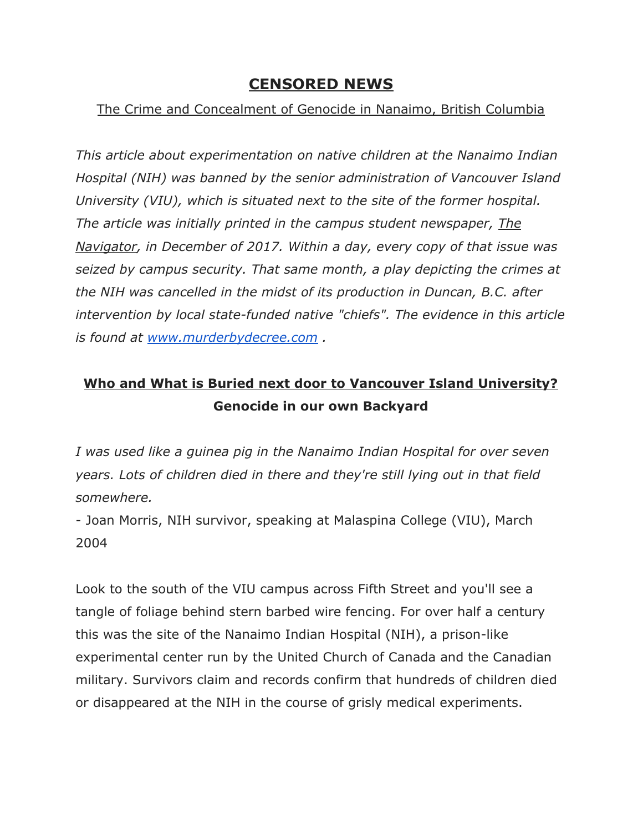## **CENSORED NEWS**

## The Crime and Concealment of Genocide in Nanaimo, British Columbia

*This article about experimentation on native children at the Nanaimo Indian Hospital (NIH) was banned by the senior administration of Vancouver Island University (VIU), which is situated next to the site of the former hospital. The article was initially printed in the campus student newspaper, The Navigator, in December of 2017. Within a day, every copy of that issue was seized by campus security. That same month, a play depicting the crimes at the NIH was cancelled in the midst of its production in Duncan, B.C. after intervention by local state-funded native "chiefs". The evidence in this article is found at [www.murderbydecree.com](http://www.murderbydecree.com/) .*

## **Who and What is Buried next door to Vancouver Island University? Genocide in our own Backyard**

*I was used like a guinea pig in the Nanaimo Indian Hospital for over seven years. Lots of children died in there and they're still lying out in that field somewhere.*

- Joan Morris, NIH survivor, speaking at Malaspina College (VIU), March 2004

Look to the south of the VIU campus across Fifth Street and you'll see a tangle of foliage behind stern barbed wire fencing. For over half a century this was the site of the Nanaimo Indian Hospital (NIH), a prison-like experimental center run by the United Church of Canada and the Canadian military. Survivors claim and records confirm that hundreds of children died or disappeared at the NIH in the course of grisly medical experiments.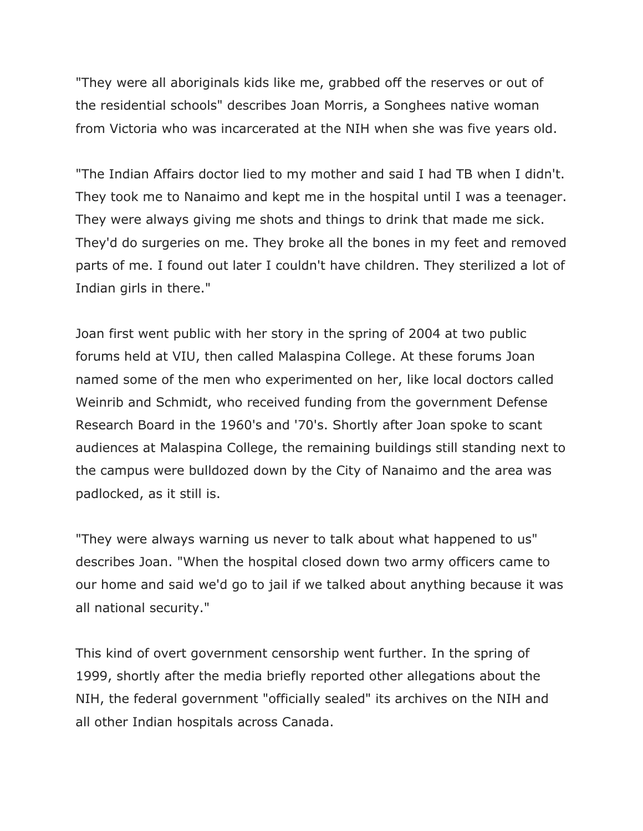"They were all aboriginals kids like me, grabbed off the reserves or out of the residential schools" describes Joan Morris, a Songhees native woman from Victoria who was incarcerated at the NIH when she was five years old.

"The Indian Affairs doctor lied to my mother and said I had TB when I didn't. They took me to Nanaimo and kept me in the hospital until I was a teenager. They were always giving me shots and things to drink that made me sick. They'd do surgeries on me. They broke all the bones in my feet and removed parts of me. I found out later I couldn't have children. They sterilized a lot of Indian girls in there."

Joan first went public with her story in the spring of 2004 at two public forums held at VIU, then called Malaspina College. At these forums Joan named some of the men who experimented on her, like local doctors called Weinrib and Schmidt, who received funding from the government Defense Research Board in the 1960's and '70's. Shortly after Joan spoke to scant audiences at Malaspina College, the remaining buildings still standing next to the campus were bulldozed down by the City of Nanaimo and the area was padlocked, as it still is.

"They were always warning us never to talk about what happened to us" describes Joan. "When the hospital closed down two army officers came to our home and said we'd go to jail if we talked about anything because it was all national security."

This kind of overt government censorship went further. In the spring of 1999, shortly after the media briefly reported other allegations about the NIH, the federal government "officially sealed" its archives on the NIH and all other Indian hospitals across Canada.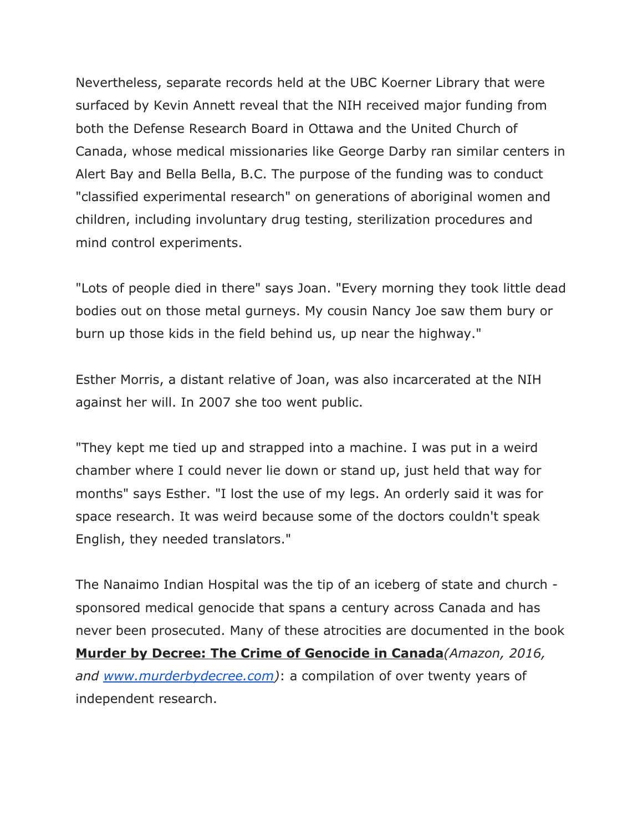Nevertheless, separate records held at the UBC Koerner Library that were surfaced by Kevin Annett reveal that the NIH received major funding from both the Defense Research Board in Ottawa and the United Church of Canada, whose medical missionaries like George Darby ran similar centers in Alert Bay and Bella Bella, B.C. The purpose of the funding was to conduct "classified experimental research" on generations of aboriginal women and children, including involuntary drug testing, sterilization procedures and mind control experiments.

"Lots of people died in there" says Joan. "Every morning they took little dead bodies out on those metal gurneys. My cousin Nancy Joe saw them bury or burn up those kids in the field behind us, up near the highway."

Esther Morris, a distant relative of Joan, was also incarcerated at the NIH against her will. In 2007 she too went public.

"They kept me tied up and strapped into a machine. I was put in a weird chamber where I could never lie down or stand up, just held that way for months" says Esther. "I lost the use of my legs. An orderly said it was for space research. It was weird because some of the doctors couldn't speak English, they needed translators."

The Nanaimo Indian Hospital was the tip of an iceberg of state and church sponsored medical genocide that spans a century across Canada and has never been prosecuted. Many of these atrocities are documented in the book **Murder by Decree: The Crime of Genocide in Canada***(Amazon, 2016, and [www.murderbydecree.com\)](http://www.murderbydecree.com/)*: a compilation of over twenty years of independent research.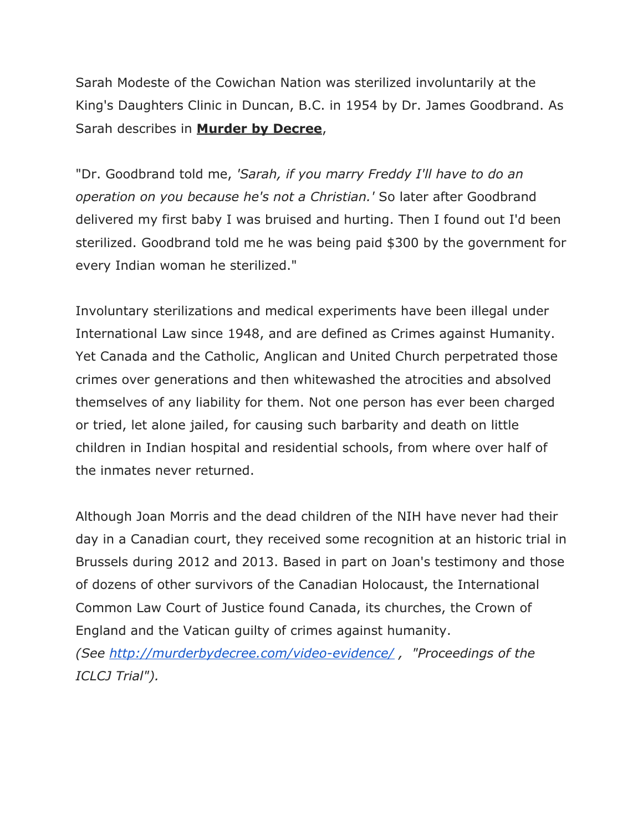Sarah Modeste of the Cowichan Nation was sterilized involuntarily at the King's Daughters Clinic in Duncan, B.C. in 1954 by Dr. James Goodbrand. As Sarah describes in **Murder by Decree**,

"Dr. Goodbrand told me, *'Sarah, if you marry Freddy I'll have to do an operation on you because he's not a Christian.'* So later after Goodbrand delivered my first baby I was bruised and hurting. Then I found out I'd been sterilized. Goodbrand told me he was being paid \$300 by the government for every Indian woman he sterilized."

Involuntary sterilizations and medical experiments have been illegal under International Law since 1948, and are defined as Crimes against Humanity. Yet Canada and the Catholic, Anglican and United Church perpetrated those crimes over generations and then whitewashed the atrocities and absolved themselves of any liability for them. Not one person has ever been charged or tried, let alone jailed, for causing such barbarity and death on little children in Indian hospital and residential schools, from where over half of the inmates never returned.

Although Joan Morris and the dead children of the NIH have never had their day in a Canadian court, they received some recognition at an historic trial in Brussels during 2012 and 2013. Based in part on Joan's testimony and those of dozens of other survivors of the Canadian Holocaust, the International Common Law Court of Justice found Canada, its churches, the Crown of England and the Vatican guilty of crimes against humanity.

*(See [http://murderbydecree.com/video-evidence/](http://murderbydecree.com/%ef%bb%bfvideo-evidence/) , "Proceedings of the ICLCJ Trial").*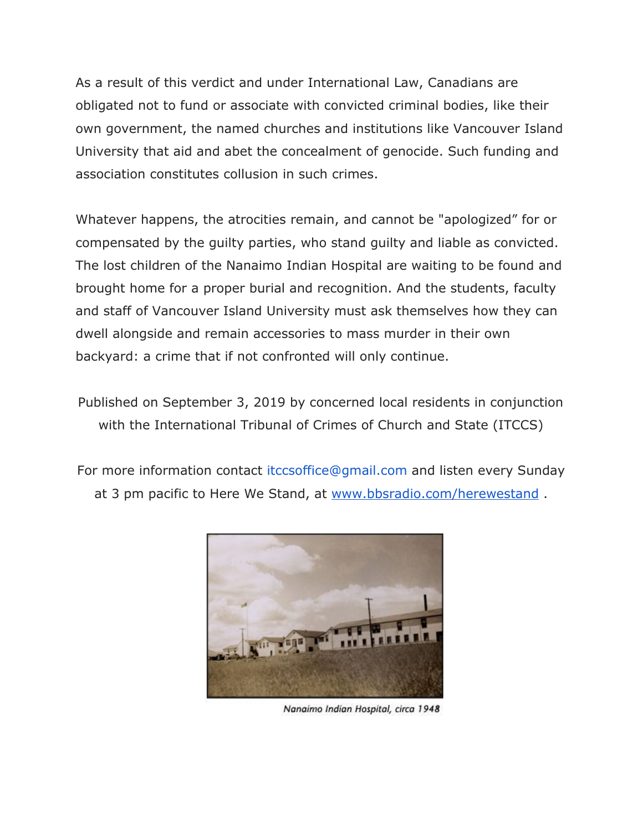As a result of this verdict and under International Law, Canadians are obligated not to fund or associate with convicted criminal bodies, like their own government, the named churches and institutions like Vancouver Island University that aid and abet the concealment of genocide. Such funding and association constitutes collusion in such crimes.

Whatever happens, the atrocities remain, and cannot be "apologized" for or compensated by the guilty parties, who stand guilty and liable as convicted. The lost children of the Nanaimo Indian Hospital are waiting to be found and brought home for a proper burial and recognition. And the students, faculty and staff of Vancouver Island University must ask themselves how they can dwell alongside and remain accessories to mass murder in their own backyard: a crime that if not confronted will only continue.

Published on September 3, 2019 by concerned local residents in conjunction with the International Tribunal of Crimes of Church and State (ITCCS)

For more information contact itccsoffice@gmail.com and listen every Sunday at 3 pm pacific to Here We Stand, at [www.bbsradio.com/herewestand](http://www.bbsradio.com/herewestand).



Nanaimo Indian Hospital, circa 1948